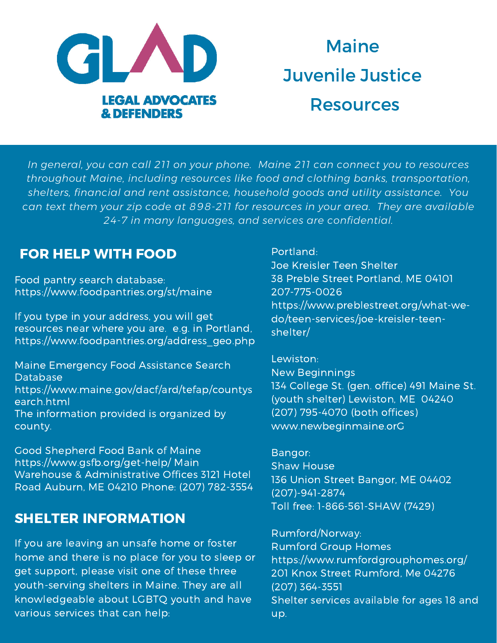

# Maine Juvenile Justice **Resources**

*In general, you can call 211 on your phone. Maine 211 can connect you to resources throughout Maine, including resources like food and clothing banks, transportation, shelters, financial and rent assistance, household goods and utility assistance. You can text them your zip code at 898-211 for resources in your area. They are available 24-7 in many languages, and services are confidential.*

#### FOR HELP WITH FOOD **Portland:**

Food pantry search database: https://www.foodpantries.org/st/maine

If you type in your address, you will get resources near where you are. e.g. in Portland, https://www.foodpantries.org/address\_geo.php

Maine Emergency Food Assistance Search Database https://www.maine.gov/dacf/ard/tefap/countys earch.html The information provided is organized by county.

Good Shepherd Food Bank of Maine https://www.gsfb.org/get-help/ Main Warehouse & Administrative Offices 3121 Hotel Road Auburn, ME 04210 Phone: (207) 782-3554

#### SHELTER INFORMATION

If you are leaving an unsafe home or foster home and there is no place for you to sleep or get support, please visit one of these three youth-serving shelters in Maine. They are all knowledgeable about LGBTQ youth and have various services that can help:

Joe Kreisler Teen Shelter 38 Preble Street Portland, ME 04101 207-775-0026 https://www.preblestreet.org/what-wedo/teen-services/joe-kreisler-teenshelter/

Lewiston: New Beginnings 134 College St. (gen. office) 491 Maine St. (youth shelter) Lewiston, ME 04240 (207) 795-4070 (both offices) www.newbeginmaine.orG

Bangor: Shaw House 136 Union Street Bangor, ME 04402 (207)-941-2874 Toll free: 1-866-561-SHAW (7429)

Rumford/Norway: Rumford Group Homes https://www.rumfordgrouphomes.org/ 201 Knox Street Rumford, Me 04276 (207) 364-3551 Shelter services available for ages 18 and up.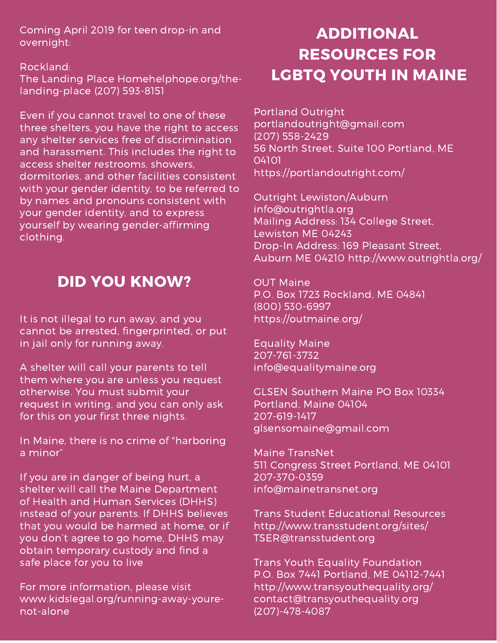Coming April 2019 for teen drop-in and overnight:

Rockland: The Landing Place Homehelphope.org/thelanding-place (207) 593-8151

Even if you cannot travel to one of these three shelters, you have the right to access any shelter services free of discrimination and harassment. This includes the right to access shelter restrooms, showers, dormitories, and other facilities consistent with your gender identity, to be referred to by names and pronouns consistent with your gender identity, and to express yourself by wearing gender-affirming clothing.

### DID YOU KNOW?

It is not illegal to run away, and you cannot be arrested, fingerprinted, or put in jail only for running away.

A shelter will call your parents to tell them where you are unless you request otherwise. You must submit your request in writing, and you can only ask for this on your first three nights.

In Maine, there is no crime of "harboring a minor"

If you are in danger of being hurt, a shelter will call the Maine Department of Health and Human Services (DHHS) instead of your parents. If DHHS believes that you would be harmed at home, or if you don't agree to go home, DHHS may obtain temporary custody and find a safe place for you to live

For more information, please visit www.kidslegal.org/running-away-yourenot-alone

## ADDITIONAL RESOURCES FOR LGBTQ YOUTH IN MAINE

Portland Outright portlandoutright@gmail.com

(207) 558-2429 56 North Street, Suite 100 Portland, ME 04101 https://portlandoutright.com/

Outright Lewiston/Auburn info@outrightla.org Mailing Address: 134 College Street, Lewiston ME 04243 Drop-In Address: 169 Pleasant Street, Auburn ME 04210 http://www.outrightla.org/

OUT Maine P.O. Box 1723 Rockland, ME 04841 (800) 530-6997 https://outmaine.org/

Equality Maine 207-761-3732 info@equalitymaine.org

GLSEN Southern Maine PO Box 10334 Portland, Maine 04104 207-619-1417 glsensomaine@gmail.com

Maine TransNet 511 Congress Street Portland, ME 04101 207-370-0359 info@mainetransnet.org

Trans Student Educational Resources http://www.transstudent.org/sites/ TSER@transstudent.org

Trans Youth Equality Foundation P.O. Box 7441 Portland, ME 04112-7441 http://www.transyouthequality.org/ contact@transyouthequality.org (207)-478-4087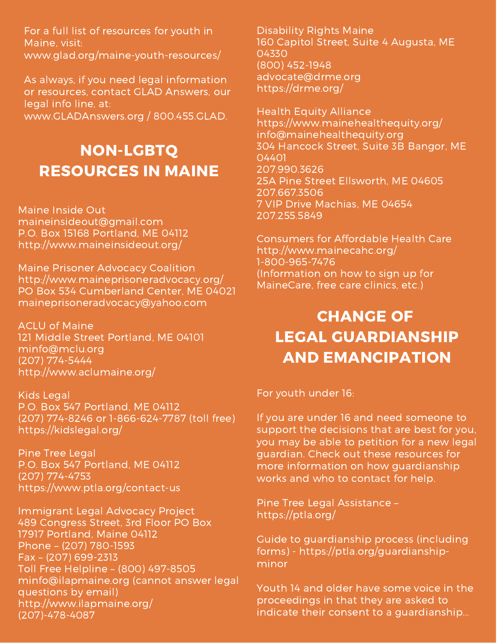For a full list of resources for youth in Maine, visit: www.glad.org/maine-youth-resources/

As always, if you need legal information or resources, contact GLAD Answers, our legal info line, at:

www.GLADAnswers.org / 800.455.GLAD.

# NON-LGBTQ RESOURCES IN MAINE

Maine Inside Out maineinsideout@gmail.com P.O. Box 15168 Portland, ME 04112 http://www.maineinsideout.org/

Maine Prisoner Advocacy Coalition http://www.maineprisoneradvocacy.org/ PO Box 534 Cumberland Center, ME 04021 maineprisoneradvocacy@yahoo.com

ACLU of Maine 121 Middle Street Portland, ME 04101 minfo@mclu.org (207) 774-5444 http://www.aclumaine.org/

Kids Legal P.O. Box 547 Portland, ME 04112 (207) 774-8246 or 1-866-624-7787 (toll free) https://kidslegal.org/

Pine Tree Legal P.O. Box 547 Portland, ME 04112 (207) 774-4753 https://www.ptla.org/contact-us

Immigrant Legal Advocacy Project 489 Congress Street, 3rd Floor PO Box 17917 Portland, Maine 04112 Phone – (207) 780-1593 Fax – (207) 699-2313 Toll Free Helpline – (800) 497-8505 minfo@ilapmaine.org (cannot answer legal questions by email) http://www.ilapmaine.org/ (207)-478-4087

Disability Rights Maine 160 Capitol Street, Suite 4 Augusta, ME 04330 (800) 452-1948 advocate@drme.org https://drme.org/

Health Equity Alliance https://www.mainehealthequity.org/ info@mainehealthequity.org 304 Hancock Street, Suite 3B Bangor, ME 04401 207.990.3626 25A Pine Street Ellsworth, ME 04605 207.667.3506 7 VIP Drive Machias, ME 04654 207.255.5849

Consumers for Affordable Health Care http://www.mainecahc.org/ 1-800-965-7476 (Information on how to sign up for MaineCare, free care clinics, etc.)

# CHANGE OF LEGAL GUARDIANSHIP AND EMANCIPATION

For youth under 16:

If you are under 16 and need someone to support the decisions that are best for you, you may be able to petition for a new legal guardian. Check out these resources for more information on how guardianship works and who to contact for help.

Pine Tree Legal Assistance – https://ptla.org/

Guide to guardianship process (including forms) - https://ptla.org/guardianshipminor

Youth 14 and older have some voice in the proceedings in that they are asked to indicate their consent to a guardianship...